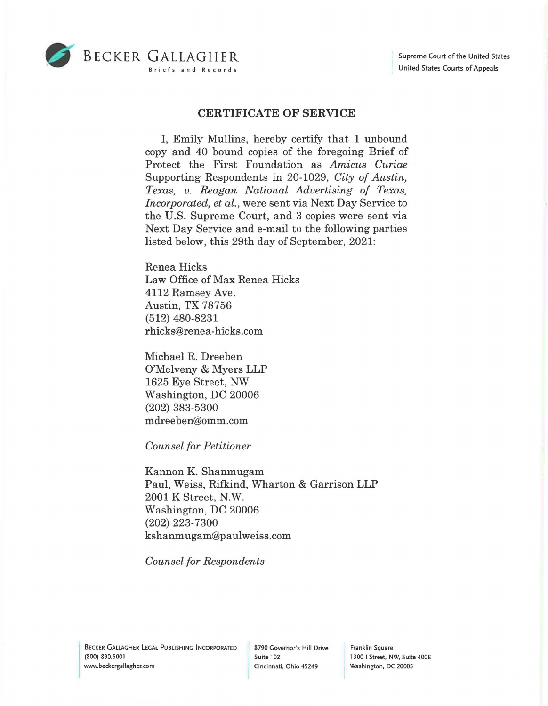

## **CERTIFICATE OF SERVICE**

I, Emily Mullins, hereby certify that **1** unbound copy and 40 bound copies of the foregoing Brief of Protect the First Foundation as *Amicus Curiae*  Supporting Respondents in 20-1029, *City of Austin, Texas, v. Reagan National Advertising of Texas, Incorporated, et al.,* were sent via Next Day Service to the U.S. Supreme Court, and 3 copies were sent via Next Day Service and e-mail to the following parties listed below, this 29th day of September, 2021:

Renea Hicks Law Office of Max Renea Hicks 4112 Ramsey Ave. Austin, TX 78756 (512) 480-8231 rhicks@renea-hicks.com

Michael R. Dreeben O'Melveny & Myers LLP 1625 Eye Street, NW Washington, DC 20006 (202) 383-5300 mdreeben@omm.com

*Counsel for Petitioner* 

Kannon K. Shanmugam Paul, Weiss, Rifkind, Wharton & Garrison LLP 2001 K Street, N.W. Washington, DC 20006 (202) 223-7300 kshanmugam@paulweiss.com

*Counsel for Respondents* 

Franklin Square 1300 I Street, NW, Suite 400E Washington, DC 20005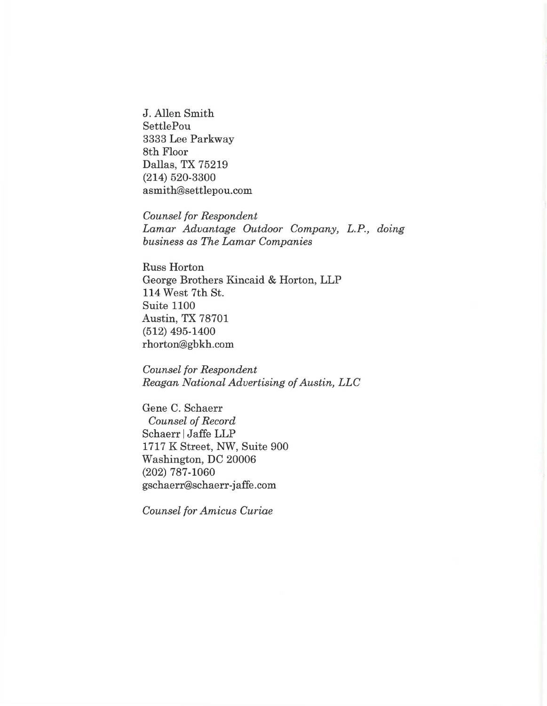J. Allen Smith SettlePou 3333 Lee Parkway 8th Floor Dallas, TX 75219 (214) 520-3300 asmith@settlepou.com

*Counsel for Respondent Lamar Advantage Outdoor Company, L.P., doing business as The Lamar Companies* 

Russ Horton George Brothers Kincaid & Horton, LLP 114 West 7th St. Suite 1100 Austin, TX 78701 (512) 495-1400 rhorton@gbkh.com

*Counsel for Respondent Reagan National Advertising of Austin, LLC* 

Gene C. Schaerr *Counsel of Record*  Schaerr | Jaffe LLP 1717 K Street, NW, Suite 900 Washington, DC 20006 (202) 787-1060 gschaerr@schaerr-jaffe.com

*Counsel for Amicus Curiae*